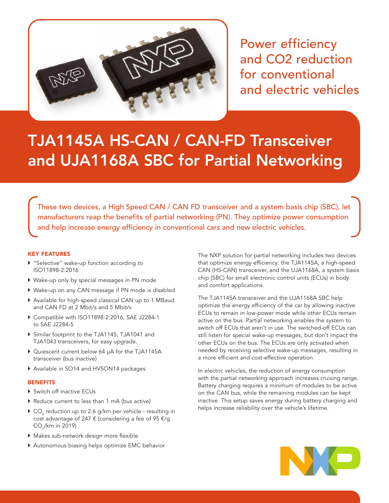

Power efficiency and CO2 reduction for conventional and electric vehicles

# TJA1145A HS-CAN / CAN-FD Transceiver and UJA1168A SBC for Partial Networking

These two devices, a High Speed CAN / CAN FD transceiver and a system basis chip (SBC), let manufacturers reap the benefits of partial networking (PN). They optimize power consumption and help increase energy efficiency in conventional cars and new electric vehicles.

## KEY FEATURES

- ▶ "Selective" wake-up function according to ISO11898-2:2016
- } Wake-up only by special messages in PN mode
- } Wake-up on any CAN message if PN mode is disabled
- } Available for high-speed classical CAN up to 1 MBaud and CAN FD at 2 Mbit/s and 5 Mbit/s
- } Compatible with ISO11898-2:2016, SAE J2284-1 to SAE J2284-5
- } Similar footprint to the TJA1145, TJA1041 and TJA1043 transceivers, for easy upgrade.
- ▶ Quiescent current below 64 µA for the TJA1145A transceiver (bus inactive)
- } Available in SO14 and HVSON14 packages

## **BENEFITS**

- ▶ Switch off inactive ECUs
- } Reduce current to less than 1 mA (bus active)
- $\blacktriangleright$  CO<sub>2</sub> reduction up to 2.6 g/km per vehicle resulting in cost advantage of 247  $\epsilon$  (considering a fee of 95  $\epsilon$ /g CO<sub>2</sub>/km in 2019)
- } Makes sub-network design more flexible
- } Autonomous biasing helps optimize EMC behavior

The NXP solution for partial networking includes two devices that optimize energy efficiency: the TJA1145A, a high-speed CAN (HS-CAN) transceiver, and the UJA1168A, a system basis chip (SBC) for small electronic control units (ECUs) in body and comfort applications.

The TJA1145A transceiver and the UJA1168A SBC help optimize the energy efficiency of the car by allowing inactive ECUs to remain in low-power mode while other ECUs remain active on the bus. Partial networking enables the system to switch off ECUs that aren't in use. The switched-off ECUs can still listen for special wake-up messages, but don't impact the other ECUs on the bus. The ECUs are only activated when needed by receiving selective wake-up messages, resulting in a more efficient and cost-effective operation.

In electric vehicles, the reduction of energy consumption with the partial networking approach increases cruising range. Battery charging requires a minimum of modules to be active on the CAN bus, while the remaining modules can be kept inactive. This setup saves energy during battery charging and helps increase reliability over the vehicle's lifetime.